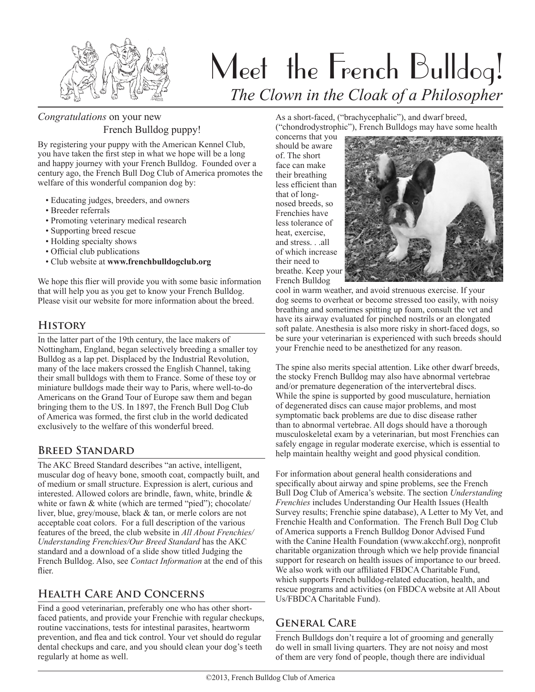

# Meet the French Bulldog! *The Clown in the Cloak of a Philosopher*

## *Congratulations* on your new French Bulldog puppy!

By registering your puppy with the American Kennel Club, you have taken the first step in what we hope will be a long and happy journey with your French Bulldog. Founded over a century ago, the French Bull Dog Club of America promotes the welfare of this wonderful companion dog by:

- Educating judges, breeders, and owners
- Breeder referrals
- Promoting veterinary medical research
- Supporting breed rescue
- Holding specialty shows
- Official club publications
- Club website at **www.frenchbulldogclub.org**

We hope this flier will provide you with some basic information that will help you as you get to know your French Bulldog. Please visit our website for more information about the breed.

#### **History**

In the latter part of the 19th century, the lace makers of Nottingham, England, began selectively breeding a smaller toy Bulldog as a lap pet. Displaced by the Industrial Revolution, many of the lace makers crossed the English Channel, taking their small bulldogs with them to France. Some of these toy or miniature bulldogs made their way to Paris, where well-to-do Americans on the Grand Tour of Europe saw them and began bringing them to the US. In 1897, the French Bull Dog Club of America was formed, the first club in the world dedicated exclusively to the welfare of this wonderful breed.

## **Breed Standard**

The AKC Breed Standard describes "an active, intelligent, muscular dog of heavy bone, smooth coat, compactly built, and of medium or small structure. Expression is alert, curious and interested. Allowed colors are brindle, fawn, white, brindle & white or fawn & white (which are termed "pied"); chocolate/ liver, blue, grey/mouse, black & tan, or merle colors are not acceptable coat colors. For a full description of the various features of the breed, the club website in *All About Frenchies/ Understanding Frenchies/Our Breed Standard* has the AKC standard and a download of a slide show titled Judging the French Bulldog. Also, see *Contact Information* at the end of this flier.

# **Health Care And Concerns**

Find a good veterinarian, preferably one who has other shortfaced patients, and provide your Frenchie with regular checkups, routine vaccinations, tests for intestinal parasites, heartworm prevention, and flea and tick control. Your vet should do regular dental checkups and care, and you should clean your dog's teeth regularly at home as well.

As a short-faced, ("brachycephalic"), and dwarf breed, ("chondrodystrophic"), French Bulldogs may have some health

concerns that you should be aware of. The short face can make their breathing less efficient than that of longnosed breeds, so Frenchies have less tolerance of heat, exercise, and stress. . .all of which increase their need to breathe. Keep your French Bulldog



cool in warm weather, and avoid strenuous exercise. If your dog seems to overheat or become stressed too easily, with noisy breathing and sometimes spitting up foam, consult the vet and have its airway evaluated for pinched nostrils or an elongated soft palate. Anesthesia is also more risky in short-faced dogs, so be sure your veterinarian is experienced with such breeds should your Frenchie need to be anesthetized for any reason.

The spine also merits special attention. Like other dwarf breeds, the stocky French Bulldog may also have abnormal vertebrae and/or premature degeneration of the intervertebral discs. While the spine is supported by good musculature, herniation of degenerated discs can cause major problems, and most symptomatic back problems are due to disc disease rather than to abnormal vertebrae. All dogs should have a thorough musculoskeletal exam by a veterinarian, but most Frenchies can safely engage in regular moderate exercise, which is essential to help maintain healthy weight and good physical condition.

For information about general health considerations and specifically about airway and spine problems, see the French Bull Dog Club of America's website. The section *Understanding Frenchies* includes Understanding Our Health Issues (Health Survey results; Frenchie spine database), A Letter to My Vet, and Frenchie Health and Conformation. The French Bull Dog Club of America supports a French Bulldog Donor Advised Fund with the Canine Health Foundation (www.akcchf.org), nonprofit charitable organization through which we help provide financial support for research on health issues of importance to our breed. We also work with our affiliated FBDCA Charitable Fund, which supports French bulldog-related education, health, and rescue programs and activities (on FBDCA website at All About Us/FBDCA Charitable Fund).

# **General Care**

French Bulldogs don't require a lot of grooming and generally do well in small living quarters. They are not noisy and most of them are very fond of people, though there are individual